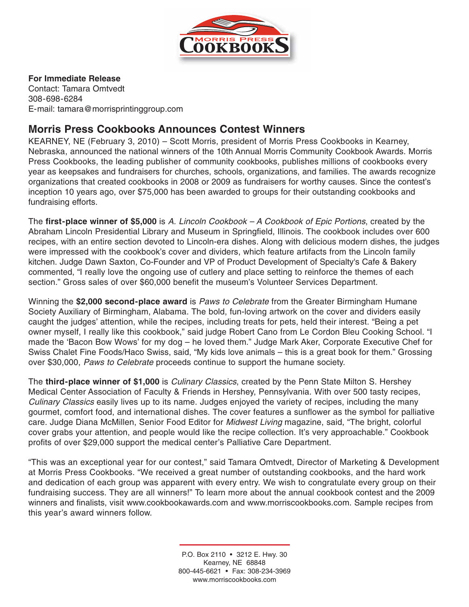

## **For Immediate Release**

Contact: Tamara Omtvedt 308-698-6284 E-mail: tamara@morrisprintinggroup.com

## **Morris Press Cookbooks Announces Contest Winners**

KEARNEY, NE (February 3, 2010) – Scott Morris, president of Morris Press Cookbooks in Kearney, Nebraska, announced the national winners of the 10th Annual Morris Community Cookbook Awards. Morris Press Cookbooks, the leading publisher of community cookbooks, publishes millions of cookbooks every year as keepsakes and fundraisers for churches, schools, organizations, and families. The awards recognize organizations that created cookbooks in 2008 or 2009 as fundraisers for worthy causes. Since the contest's inception 10 years ago, over \$75,000 has been awarded to groups for their outstanding cookbooks and fundraising efforts.

The **first-place winner of \$5,000** is A. Lincoln Cookbook – A Cookbook of Epic Portions, created by the Abraham Lincoln Presidential Library and Museum in Springfield, Illinois. The cookbook includes over 600 recipes, with an entire section devoted to Lincoln-era dishes. Along with delicious modern dishes, the judges were impressed with the cookbook's cover and dividers, which feature artifacts from the Lincoln family kitchen. Judge Dawn Saxton, Co-Founder and VP of Product Development of Specialty's Cafe & Bakery commented, "I really love the ongoing use of cutlery and place setting to reinforce the themes of each section." Gross sales of over \$60,000 benefit the museum's Volunteer Services Department.

Winning the **\$2,000 second-place award** is Paws to Celebrate from the Greater Birmingham Humane Society Auxiliary of Birmingham, Alabama. The bold, fun-loving artwork on the cover and dividers easily caught the judges' attention, while the recipes, including treats for pets, held their interest. "Being a pet owner myself, I really like this cookbook," said judge Robert Cano from Le Cordon Bleu Cooking School. "I made the 'Bacon Bow Wows' for my dog – he loved them." Judge Mark Aker, Corporate Executive Chef for Swiss Chalet Fine Foods/Haco Swiss, said, "My kids love animals – this is a great book for them." Grossing over \$30,000, Paws to Celebrate proceeds continue to support the humane society.

The **third-place winner of \$1,000** is Culinary Classics, created by the Penn State Milton S. Hershey Medical Center Association of Faculty & Friends in Hershey, Pennsylvania. With over 500 tasty recipes, Culinary Classics easily lives up to its name. Judges enjoyed the variety of recipes, including the many gourmet, comfort food, and international dishes. The cover features a sunflower as the symbol for palliative care. Judge Diana McMillen, Senior Food Editor for *Midwest Living* magazine, said, "The bright, colorful cover grabs your attention, and people would like the recipe collection. It's very approachable." Cookbook profits of over \$29,000 support the medical center's Palliative Care Department.

"This was an exceptional year for our contest," said Tamara Omtvedt, Director of Marketing & Development at Morris Press Cookbooks. "We received a great number of outstanding cookbooks, and the hard work and dedication of each group was apparent with every entry. We wish to congratulate every group on their fundraising success. They are all winners!" To learn more about the annual cookbook contest and the 2009 winners and finalists, visit www.cookbookawards.com and www.morriscookbooks.com. Sample recipes from this year's award winners follow.

> P.O. Box 2110 • 3212 E. Hwy. 30 Kearney, NE 68848 800-445-6621 • Fax: 308-234-3969 www.morriscookbooks.com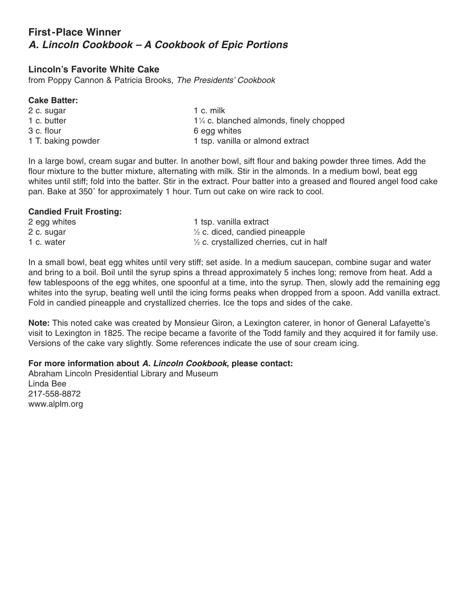## **First-Place Winner A. Lincoln Cookbook – A Cookbook of Epic Portions**

## **Lincoln's Favorite White Cake**

from Poppy Cannon & Patricia Brooks, The Presidents' Cookbook

#### **Cake Batter:**

| 2 c. sugar         | 1 c. milk                                          |
|--------------------|----------------------------------------------------|
| 1 c. butter        | $1\frac{1}{4}$ c. blanched almonds, finely chopped |
| 3 c. flour         | 6 egg whites                                       |
| 1 T. baking powder | 1 tsp. vanilla or almond extract                   |

In a large bowl, cream sugar and butter. In another bowl, sift flour and baking powder three times. Add the flour mixture to the butter mixture, alternating with milk. Stir in the almonds. In a medium bowl, beat egg whites until stiff; fold into the batter. Stir in the extract. Pour batter into a greased and floured angel food cake pan. Bake at 350˚ for approximately 1 hour. Turn out cake on wire rack to cool.

#### **Candied Fruit Frosting:**

| 2 egg whites | 1 tsp. vanilla extract                              |
|--------------|-----------------------------------------------------|
| 2 c. sugar   | $\frac{1}{2}$ c. diced, candied pineapple           |
| 1 c. water   | $\frac{1}{2}$ c. crystallized cherries, cut in half |

In a small bowl, beat egg whites until very stiff; set aside. In a medium saucepan, combine sugar and water and bring to a boil. Boil until the syrup spins a thread approximately 5 inches long; remove from heat. Add a few tablespoons of the egg whites, one spoonful at a time, into the syrup. Then, slowly add the remaining egg whites into the syrup, beating well until the icing forms peaks when dropped from a spoon. Add vanilla extract. Fold in candied pineapple and crystallized cherries. Ice the tops and sides of the cake.

**Note:** This noted cake was created by Monsieur Giron, a Lexington caterer, in honor of General Lafayette's visit to Lexington in 1825. The recipe became a favorite of the Todd family and they acquired it for family use. Versions of the cake vary slightly. Some references indicate the use of sour cream icing.

### **For more information about A. Lincoln Cookbook, please contact:**

Abraham Lincoln Presidential Library and Museum Linda Bee 217-558-8872 www.alplm.org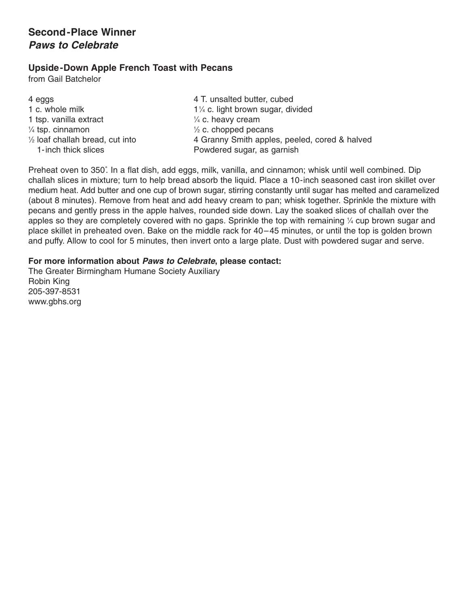## **Second-Place Winner Paws to Celebrate**

## **Upside-Down Apple French Toast with Pecans**

from Gail Batchelor

| $\frac{1}{2}$ c. chopped pecans<br>$\frac{1}{4}$ tsp. cinnamon | 4 eggs<br>1 c. whole milk<br>1 tsp. vanilla extract<br>$\frac{1}{2}$ loaf challah bread, cut into | 4 T. unsalted butter, cubed<br>11/4 c. light brown sugar, divided<br>$\frac{1}{4}$ c. heavy cream<br>4 Granny Smith apples, peeled, cored & halved |
|----------------------------------------------------------------|---------------------------------------------------------------------------------------------------|----------------------------------------------------------------------------------------------------------------------------------------------------|
|                                                                | 1-inch thick slices                                                                               | Powdered sugar, as garnish                                                                                                                         |

Preheat oven to 350˚. In a flat dish, add eggs, milk, vanilla, and cinnamon; whisk until well combined. Dip challah slices in mixture; turn to help bread absorb the liquid. Place a 10-inch seasoned cast iron skillet over medium heat. Add butter and one cup of brown sugar, stirring constantly until sugar has melted and caramelized (about 8 minutes). Remove from heat and add heavy cream to pan; whisk together. Sprinkle the mixture with pecans and gently press in the apple halves, rounded side down. Lay the soaked slices of challah over the apples so they are completely covered with no gaps. Sprinkle the top with remaining 1 ⁄4 cup brown sugar and place skillet in preheated oven. Bake on the middle rack for 40–45 minutes, or until the top is golden brown and puffy. Allow to cool for 5 minutes, then invert onto a large plate. Dust with powdered sugar and serve.

#### **For more information about Paws to Celebrate, please contact:**

The Greater Birmingham Humane Society Auxiliary Robin King 205-397-8531 www.gbhs.org